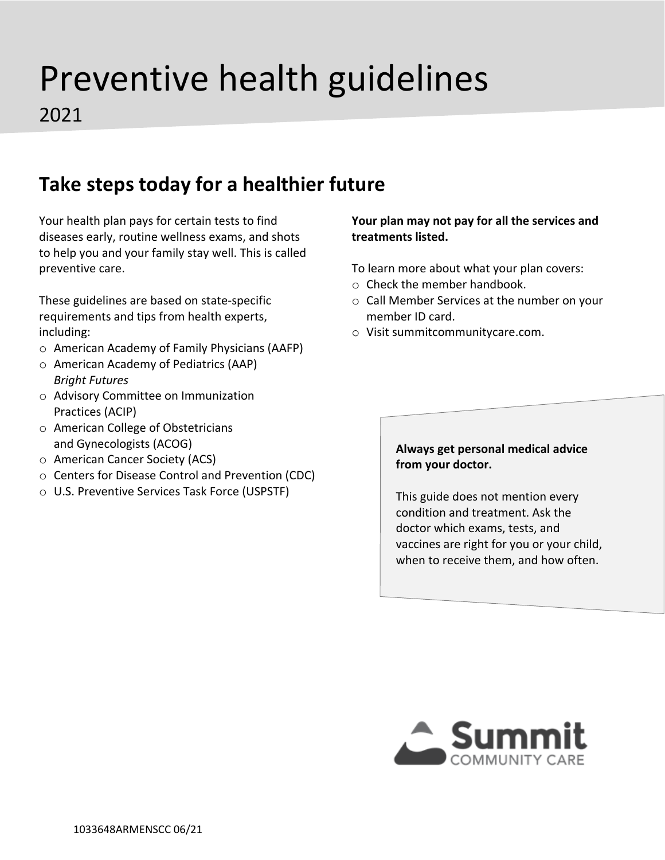# Preventive health guidelines

2021

## **Take steps today for a healthier future**

Your health plan pays for certain tests to find diseases early, routine wellness exams, and shots to help you and your family stay well. This is called preventive care.

These guidelines are based on state-specific requirements and tips from health experts, including:

- o American Academy of Family Physicians (AAFP)
- o American Academy of Pediatrics (AAP) *Bright Futures*
- o Advisory Committee on Immunization Practices (ACIP)
- o American College of Obstetricians and Gynecologists (ACOG)
- o American Cancer Society (ACS)
- o Centers for Disease Control and Prevention (CDC)
- o U.S. Preventive Services Task Force (USPSTF)

#### **Your plan may not pay for all the services and treatments listed.**

To learn more about what your plan covers:

- o Check the member handbook.
- o Call Member Services at the number on your member ID card.
- o Visit summitcommunitycare.com.

#### **Always get personal medical advice from your doctor.**

This guide does not mention every condition and treatment. Ask the doctor which exams, tests, and vaccines are right for you or your child, when to receive them, and how often.

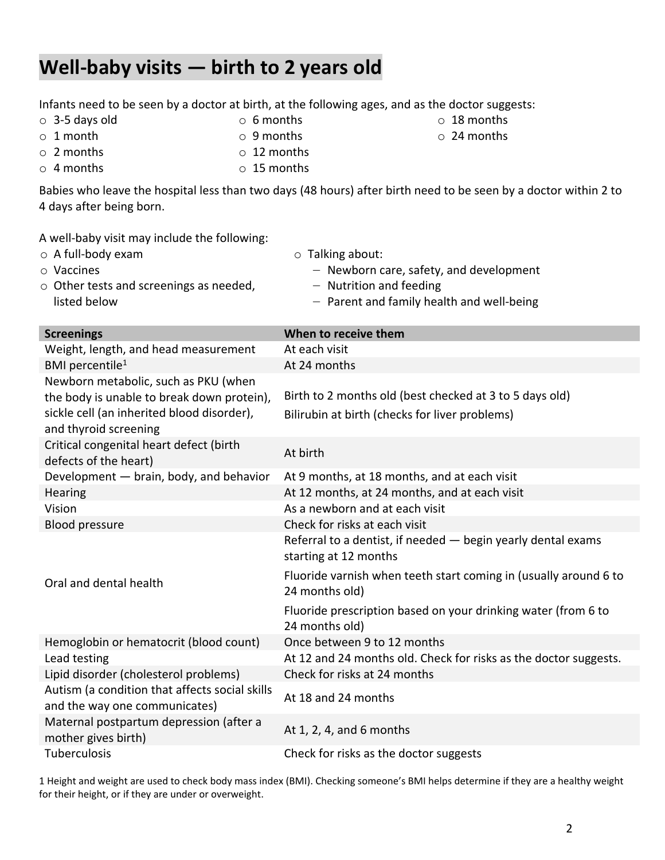### **Well-baby visits — birth to 2 years old**

| A well-baby visit may include the following:<br>$\circ$ A full-body exam<br>$\circ$ Vaccines<br>$\circ$ Other tests and screenings as needed,<br>listed below | $\circ$ Talking about:<br>- Newborn care, safety, and development<br>- Nutrition and feeding<br>- Parent and family health and well-being                                   |
|---------------------------------------------------------------------------------------------------------------------------------------------------------------|-----------------------------------------------------------------------------------------------------------------------------------------------------------------------------|
| <b>Screenings</b>                                                                                                                                             | When to receive them                                                                                                                                                        |
| Weight, length, and head measurement                                                                                                                          | At each visit                                                                                                                                                               |
| BMI percentile <sup>1</sup>                                                                                                                                   | At 24 months                                                                                                                                                                |
| Newborn metabolic, such as PKU (when<br>the body is unable to break down protein),<br>sickle cell (an inherited blood disorder),<br>and thyroid screening     | Birth to 2 months old (best checked at 3 to 5 days old)<br>Bilirubin at birth (checks for liver problems)                                                                   |
| Critical congenital heart defect (birth<br>defects of the heart)                                                                                              | At birth                                                                                                                                                                    |
| Development - brain, body, and behavior                                                                                                                       | At 9 months, at 18 months, and at each visit                                                                                                                                |
| Hearing                                                                                                                                                       | At 12 months, at 24 months, and at each visit                                                                                                                               |
| Vision                                                                                                                                                        | As a newborn and at each visit                                                                                                                                              |
| <b>Blood pressure</b>                                                                                                                                         | Check for risks at each visit                                                                                                                                               |
| Oral and dental health                                                                                                                                        | Referral to a dentist, if needed - begin yearly dental exams<br>starting at 12 months<br>Fluoride varnish when teeth start coming in (usually around 6 to<br>24 months old) |
|                                                                                                                                                               | Fluoride prescription based on your drinking water (from 6 to<br>24 months old)                                                                                             |
| Hemoglobin or hematocrit (blood count)                                                                                                                        | Once between 9 to 12 months                                                                                                                                                 |
| Lead testing                                                                                                                                                  | At 12 and 24 months old. Check for risks as the doctor suggests.                                                                                                            |
| Lipid disorder (cholesterol problems)                                                                                                                         | Check for risks at 24 months                                                                                                                                                |
| Autism (a condition that affects social skills<br>and the way one communicates)                                                                               | At 18 and 24 months                                                                                                                                                         |
| Maternal postpartum depression (after a<br>mother gives birth)                                                                                                | At 1, 2, 4, and 6 months                                                                                                                                                    |
| Tuberculosis                                                                                                                                                  | Check for risks as the doctor suggests                                                                                                                                      |

Infants need to be seen by a doctor at birth, at the following ages, and as the doctor suggests:

Babies who leave the hospital less than two days (48 hours) after birth need to be seen by a doctor within 2 to

o 24 months

o 3-5 days old

4 days after being born.

- o 9 months
- o 2 months  $\circ$  12 months
- o 4 months o 15 months

1 Height and weight are used to check body mass index (BMI). Checking someone's BMI helps determine if they are a healthy weight for their height, or if they are under or overweight.

- o 6 months o 18 months
- 
- o 1 month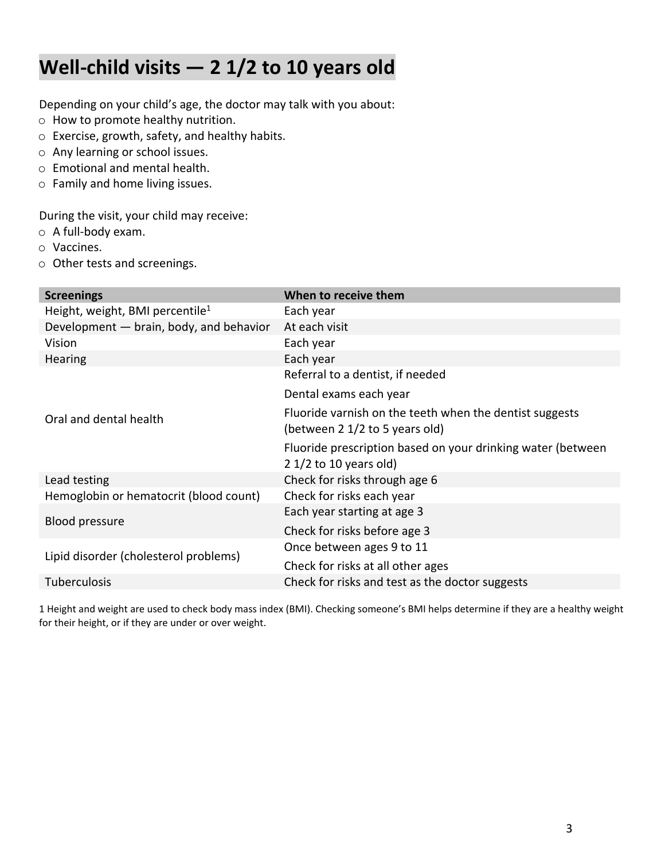## **Well-child visits — 2 1/2 to 10 years old**

Depending on your child's age, the doctor may talk with you about:

- o How to promote healthy nutrition.
- o Exercise, growth, safety, and healthy habits.
- o Any learning or school issues.
- o Emotional and mental health.
- o Family and home living issues.

During the visit, your child may receive:

- o A full-body exam.
- o Vaccines.
- o Other tests and screenings.

| <b>Screenings</b>                           | When to receive them                                                                      |  |  |  |  |  |
|---------------------------------------------|-------------------------------------------------------------------------------------------|--|--|--|--|--|
| Height, weight, BMI percentile <sup>1</sup> | Each year                                                                                 |  |  |  |  |  |
| Development - brain, body, and behavior     | At each visit                                                                             |  |  |  |  |  |
| Vision                                      | Each year                                                                                 |  |  |  |  |  |
| <b>Hearing</b>                              | Each year                                                                                 |  |  |  |  |  |
|                                             | Referral to a dentist, if needed                                                          |  |  |  |  |  |
|                                             | Dental exams each year                                                                    |  |  |  |  |  |
| Oral and dental health                      | Fluoride varnish on the teeth when the dentist suggests<br>(between 2 1/2 to 5 years old) |  |  |  |  |  |
|                                             | Fluoride prescription based on your drinking water (between<br>2 $1/2$ to 10 years old)   |  |  |  |  |  |
| Lead testing                                | Check for risks through age 6                                                             |  |  |  |  |  |
| Hemoglobin or hematocrit (blood count)      | Check for risks each year                                                                 |  |  |  |  |  |
| <b>Blood pressure</b>                       | Each year starting at age 3                                                               |  |  |  |  |  |
|                                             | Check for risks before age 3                                                              |  |  |  |  |  |
|                                             | Once between ages 9 to 11                                                                 |  |  |  |  |  |
| Lipid disorder (cholesterol problems)       | Check for risks at all other ages                                                         |  |  |  |  |  |
| Tuberculosis                                | Check for risks and test as the doctor suggests                                           |  |  |  |  |  |
|                                             |                                                                                           |  |  |  |  |  |

1 Height and weight are used to check body mass index (BMI). Checking someone's BMI helps determine if they are a healthy weight for their height, or if they are under or over weight.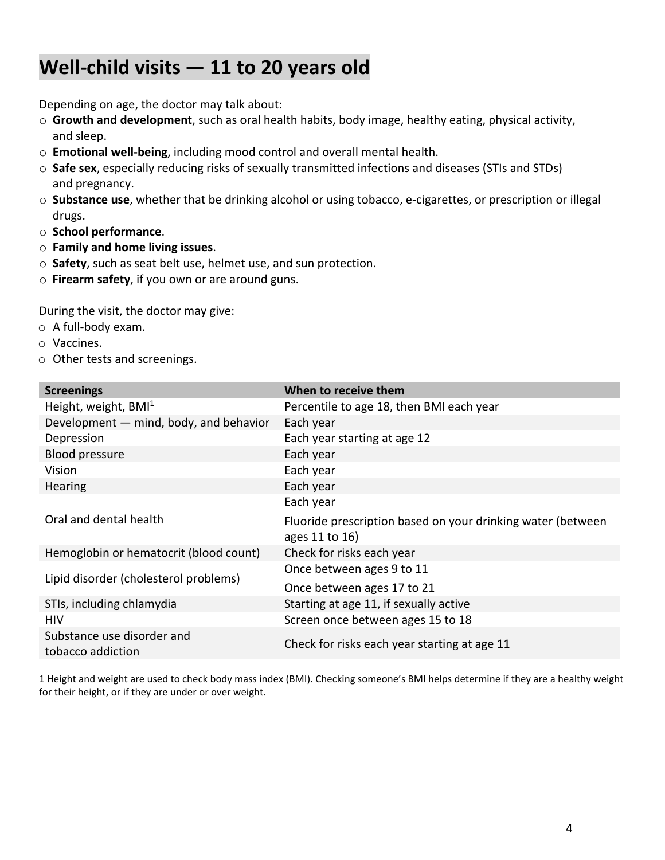## **Well-child visits — 11 to 20 years old**

Depending on age, the doctor may talk about:

- o **Growth and development**, such as oral health habits, body image, healthy eating, physical activity, and sleep.
- o **Emotional well-being**, including mood control and overall mental health.
- o **Safe sex**, especially reducing risks of sexually transmitted infections and diseases (STIs and STDs) and pregnancy.
- o **Substance use**, whether that be drinking alcohol or using tobacco, e-cigarettes, or prescription or illegal drugs.
- o **School performance**.
- o **Family and home living issues**.
- o **Safety**, such as seat belt use, helmet use, and sun protection.
- o **Firearm safety**, if you own or are around guns.

During the visit, the doctor may give:

- o A full-body exam.
- o Vaccines.
- o Other tests and screenings.

| <b>Screenings</b>                               | When to receive them                                                          |
|-------------------------------------------------|-------------------------------------------------------------------------------|
| Height, weight, $BMI1$                          | Percentile to age 18, then BMI each year                                      |
| Development - mind, body, and behavior          | Each year                                                                     |
| Depression                                      | Each year starting at age 12                                                  |
| <b>Blood pressure</b>                           | Each year                                                                     |
| Vision                                          | Each year                                                                     |
| Hearing                                         | Each year                                                                     |
|                                                 | Each year                                                                     |
| Oral and dental health                          | Fluoride prescription based on your drinking water (between<br>ages 11 to 16) |
| Hemoglobin or hematocrit (blood count)          | Check for risks each year                                                     |
|                                                 | Once between ages 9 to 11                                                     |
| Lipid disorder (cholesterol problems)           | Once between ages 17 to 21                                                    |
| STIs, including chlamydia                       | Starting at age 11, if sexually active                                        |
| HIV                                             | Screen once between ages 15 to 18                                             |
| Substance use disorder and<br>tobacco addiction | Check for risks each year starting at age 11                                  |

1 Height and weight are used to check body mass index (BMI). Checking someone's BMI helps determine if they are a healthy weight for their height, or if they are under or over weight.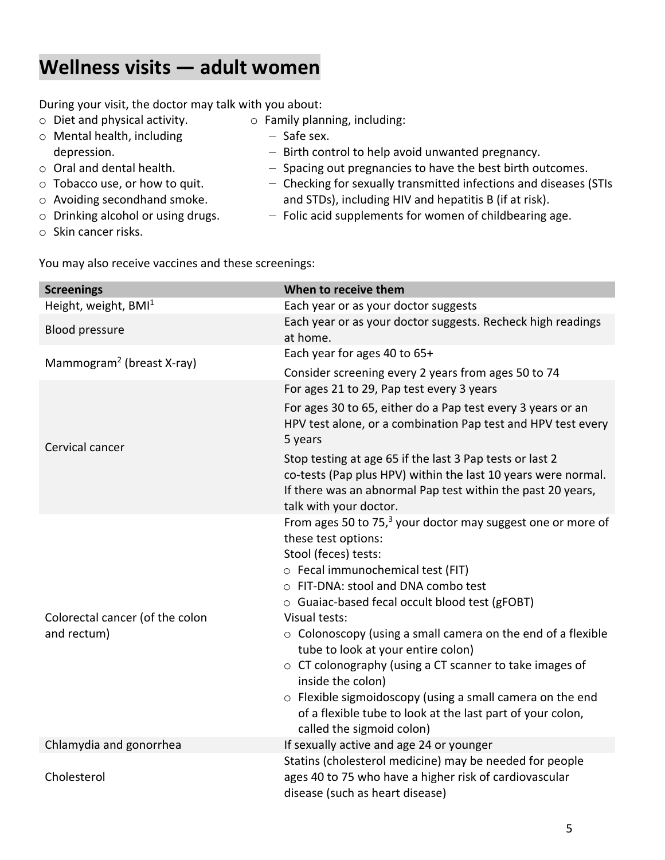#### **Wellness visits — adult women**

During your visit, the doctor may talk with you about:

- o Diet and physical activity. o Family planning, including:
- o Mental health, including depression.
- ‒ Safe sex.
	- ‒ Birth control to help avoid unwanted pregnancy.
- o Oral and dental health.
- o Tobacco use, or how to quit.
- o Avoiding secondhand smoke.
- o Drinking alcohol or using drugs.
- o Skin cancer risks.
- ‒ Spacing out pregnancies to have the best birth outcomes. ‒ Checking for sexually transmitted infections and diseases (STIs and STDs), including HIV and hepatitis B (if at risk).
- $-$  Folic acid supplements for women of childbearing age.

You may also receive vaccines and these screenings:

| <b>Screenings</b>                              | When to receive them                                                                                                                                                                                                                                                                                                                                                                                                                                                                                                                                                                                                                        |  |  |  |  |  |  |
|------------------------------------------------|---------------------------------------------------------------------------------------------------------------------------------------------------------------------------------------------------------------------------------------------------------------------------------------------------------------------------------------------------------------------------------------------------------------------------------------------------------------------------------------------------------------------------------------------------------------------------------------------------------------------------------------------|--|--|--|--|--|--|
| Height, weight, BMI <sup>1</sup>               | Each year or as your doctor suggests                                                                                                                                                                                                                                                                                                                                                                                                                                                                                                                                                                                                        |  |  |  |  |  |  |
| <b>Blood pressure</b>                          | Each year or as your doctor suggests. Recheck high readings<br>at home.                                                                                                                                                                                                                                                                                                                                                                                                                                                                                                                                                                     |  |  |  |  |  |  |
|                                                | Each year for ages 40 to 65+                                                                                                                                                                                                                                                                                                                                                                                                                                                                                                                                                                                                                |  |  |  |  |  |  |
| Mammogram <sup>2</sup> (breast X-ray)          | Consider screening every 2 years from ages 50 to 74                                                                                                                                                                                                                                                                                                                                                                                                                                                                                                                                                                                         |  |  |  |  |  |  |
|                                                | For ages 21 to 29, Pap test every 3 years                                                                                                                                                                                                                                                                                                                                                                                                                                                                                                                                                                                                   |  |  |  |  |  |  |
| Cervical cancer                                | For ages 30 to 65, either do a Pap test every 3 years or an<br>HPV test alone, or a combination Pap test and HPV test every<br>5 years                                                                                                                                                                                                                                                                                                                                                                                                                                                                                                      |  |  |  |  |  |  |
|                                                | Stop testing at age 65 if the last 3 Pap tests or last 2<br>co-tests (Pap plus HPV) within the last 10 years were normal.<br>If there was an abnormal Pap test within the past 20 years,<br>talk with your doctor.                                                                                                                                                                                                                                                                                                                                                                                                                          |  |  |  |  |  |  |
| Colorectal cancer (of the colon<br>and rectum) | From ages 50 to 75, <sup>3</sup> your doctor may suggest one or more of<br>these test options:<br>Stool (feces) tests:<br>o Fecal immunochemical test (FIT)<br>o FIT-DNA: stool and DNA combo test<br>$\circ$ Guaiac-based fecal occult blood test (gFOBT)<br>Visual tests:<br>$\circ$ Colonoscopy (using a small camera on the end of a flexible<br>tube to look at your entire colon)<br>$\circ$ CT colonography (using a CT scanner to take images of<br>inside the colon)<br>$\circ$ Flexible sigmoidoscopy (using a small camera on the end<br>of a flexible tube to look at the last part of your colon,<br>called the sigmoid colon) |  |  |  |  |  |  |
| Chlamydia and gonorrhea                        | If sexually active and age 24 or younger                                                                                                                                                                                                                                                                                                                                                                                                                                                                                                                                                                                                    |  |  |  |  |  |  |
| Cholesterol                                    | Statins (cholesterol medicine) may be needed for people<br>ages 40 to 75 who have a higher risk of cardiovascular<br>disease (such as heart disease)                                                                                                                                                                                                                                                                                                                                                                                                                                                                                        |  |  |  |  |  |  |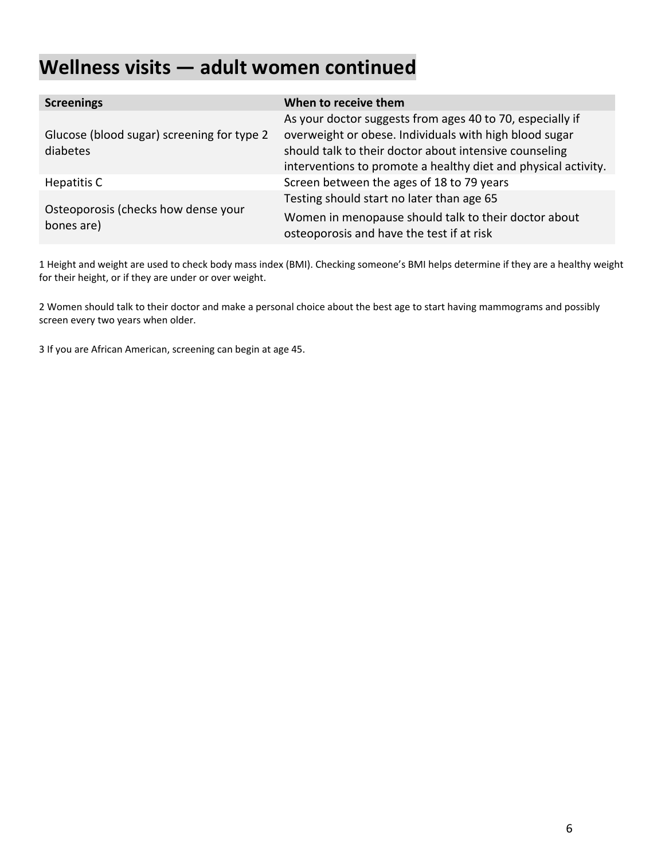# **Wellness visits — adult women continued**

| <b>Screenings</b>                                 | When to receive them                                                                              |  |  |  |  |  |
|---------------------------------------------------|---------------------------------------------------------------------------------------------------|--|--|--|--|--|
|                                                   | As your doctor suggests from ages 40 to 70, especially if                                         |  |  |  |  |  |
| Glucose (blood sugar) screening for type 2        | overweight or obese. Individuals with high blood sugar                                            |  |  |  |  |  |
| diabetes                                          | should talk to their doctor about intensive counseling                                            |  |  |  |  |  |
|                                                   | interventions to promote a healthy diet and physical activity.                                    |  |  |  |  |  |
| Hepatitis C                                       | Screen between the ages of 18 to 79 years                                                         |  |  |  |  |  |
|                                                   | Testing should start no later than age 65                                                         |  |  |  |  |  |
| Osteoporosis (checks how dense your<br>bones are) | Women in menopause should talk to their doctor about<br>osteoporosis and have the test if at risk |  |  |  |  |  |

1 Height and weight are used to check body mass index (BMI). Checking someone's BMI helps determine if they are a healthy weight for their height, or if they are under or over weight.

2 Women should talk to their doctor and make a personal choice about the best age to start having mammograms and possibly screen every two years when older.

3 If you are African American, screening can begin at age 45.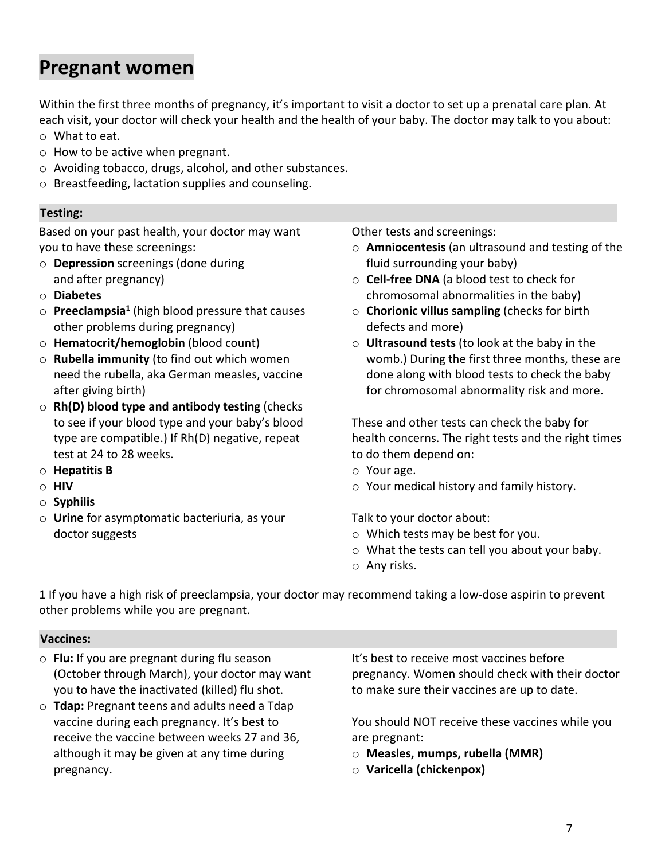#### **Pregnant women**

Within the first three months of pregnancy, it's important to visit a doctor to set up a prenatal care plan. At each visit, your doctor will check your health and the health of your baby. The doctor may talk to you about: o What to eat.

- $\circ$  How to be active when pregnant.
- o Avoiding tobacco, drugs, alcohol, and other substances.
- o Breastfeeding, lactation supplies and counseling.

#### **Testing: Testing:**

Based on your past health, your doctor may want you to have these screenings:

- o **Depression** screenings (done during and after pregnancy)
- o **Diabetes**
- o **Preeclampsia1** (high blood pressure that causes other problems during pregnancy)
- o **Hematocrit/hemoglobin** (blood count)
- o **Rubella immunity** (to find out which women need the rubella, aka German measles, vaccine after giving birth)
- o **Rh(D) blood type and antibody testing** (checks to see if your blood type and your baby's blood type are compatible.) If Rh(D) negative, repeat test at 24 to 28 weeks.
- o **Hepatitis B**
- o **HIV**
- o **Syphilis**
- o **Urine** for asymptomatic bacteriuria, as your doctor suggests

Other tests and screenings:

- o **Amniocentesis** (an ultrasound and testing of the fluid surrounding your baby)
- o **Cell-free DNA** (a blood test to check for chromosomal abnormalities in the baby)
- o **Chorionic villus sampling** (checks for birth defects and more)
- o **Ultrasound tests** (to look at the baby in the womb.) During the first three months, these are done along with blood tests to check the baby for chromosomal abnormality risk and more.

These and other tests can check the baby for health concerns. The right tests and the right times to do them depend on:

- o Your age.
- o Your medical history and family history.

Talk to your doctor about:

- o Which tests may be best for you.
- o What the tests can tell you about your baby.
- o Any risks.

1 If you have a high risk of preeclampsia, your doctor may recommend taking a low-dose aspirin to prevent other problems while you are pregnant.

#### **Vaccines: Vaccines:**

- o **Flu:** If you are pregnant during flu season (October through March), your doctor may want you to have the inactivated (killed) flu shot.
- o **Tdap:** Pregnant teens and adults need a Tdap vaccine during each pregnancy. It's best to receive the vaccine between weeks 27 and 36, although it may be given at any time during pregnancy.

It's best to receive most vaccines before pregnancy. Women should check with their doctor to make sure their vaccines are up to date.

You should NOT receive these vaccines while you are pregnant:

- o **Measles, mumps, rubella (MMR)**
- o **Varicella (chickenpox)**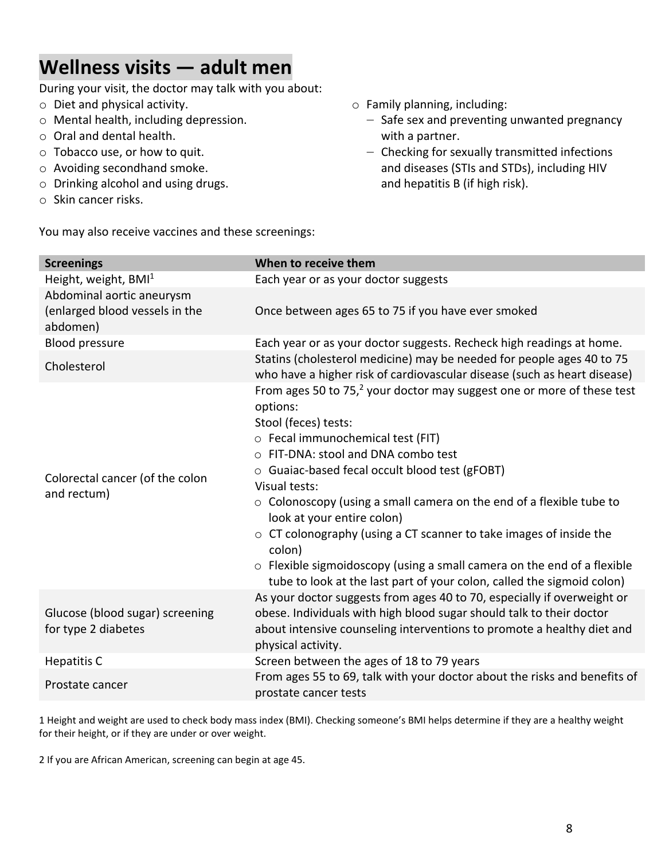#### **Wellness visits — adult men**

During your visit, the doctor may talk with you about:

- o Diet and physical activity.
- o Mental health, including depression.
- o Oral and dental health.
- o Tobacco use, or how to quit.
- o Avoiding secondhand smoke.
- o Drinking alcohol and using drugs.
- o Skin cancer risks.

You may also receive vaccines and these screenings:

- o Family planning, including:
	- Safe sex and preventing unwanted pregnancy with a partner.
	- ‒ Checking for sexually transmitted infections and diseases (STIs and STDs), including HIV and hepatitis B (if high risk).

|                                                        | When to receive them                                                                                                                                                                                                                                                                                                                                                                                                                                                                                                                             |
|--------------------------------------------------------|--------------------------------------------------------------------------------------------------------------------------------------------------------------------------------------------------------------------------------------------------------------------------------------------------------------------------------------------------------------------------------------------------------------------------------------------------------------------------------------------------------------------------------------------------|
| <b>Screenings</b>                                      |                                                                                                                                                                                                                                                                                                                                                                                                                                                                                                                                                  |
| Height, weight, BMI <sup>1</sup>                       | Each year or as your doctor suggests                                                                                                                                                                                                                                                                                                                                                                                                                                                                                                             |
| Abdominal aortic aneurysm                              |                                                                                                                                                                                                                                                                                                                                                                                                                                                                                                                                                  |
| (enlarged blood vessels in the<br>abdomen)             | Once between ages 65 to 75 if you have ever smoked                                                                                                                                                                                                                                                                                                                                                                                                                                                                                               |
| <b>Blood pressure</b>                                  | Each year or as your doctor suggests. Recheck high readings at home.                                                                                                                                                                                                                                                                                                                                                                                                                                                                             |
| Cholesterol                                            | Statins (cholesterol medicine) may be needed for people ages 40 to 75<br>who have a higher risk of cardiovascular disease (such as heart disease)                                                                                                                                                                                                                                                                                                                                                                                                |
| Colorectal cancer (of the colon<br>and rectum)         | From ages 50 to 75, $^2$ your doctor may suggest one or more of these test<br>options:<br>Stool (feces) tests:<br>o Fecal immunochemical test (FIT)<br>○ FIT-DNA: stool and DNA combo test<br>$\circ$ Guaiac-based fecal occult blood test (gFOBT)<br>Visual tests:<br>$\circ$ Colonoscopy (using a small camera on the end of a flexible tube to<br>look at your entire colon)<br>$\circ$ CT colonography (using a CT scanner to take images of inside the<br>colon)<br>o Flexible sigmoidoscopy (using a small camera on the end of a flexible |
|                                                        | tube to look at the last part of your colon, called the sigmoid colon)                                                                                                                                                                                                                                                                                                                                                                                                                                                                           |
| Glucose (blood sugar) screening<br>for type 2 diabetes | As your doctor suggests from ages 40 to 70, especially if overweight or<br>obese. Individuals with high blood sugar should talk to their doctor<br>about intensive counseling interventions to promote a healthy diet and<br>physical activity.                                                                                                                                                                                                                                                                                                  |
| <b>Hepatitis C</b>                                     | Screen between the ages of 18 to 79 years                                                                                                                                                                                                                                                                                                                                                                                                                                                                                                        |
| Prostate cancer                                        | From ages 55 to 69, talk with your doctor about the risks and benefits of<br>prostate cancer tests                                                                                                                                                                                                                                                                                                                                                                                                                                               |

1 Height and weight are used to check body mass index (BMI). Checking someone's BMI helps determine if they are a healthy weight for their height, or if they are under or over weight.

2 If you are African American, screening can begin at age 45.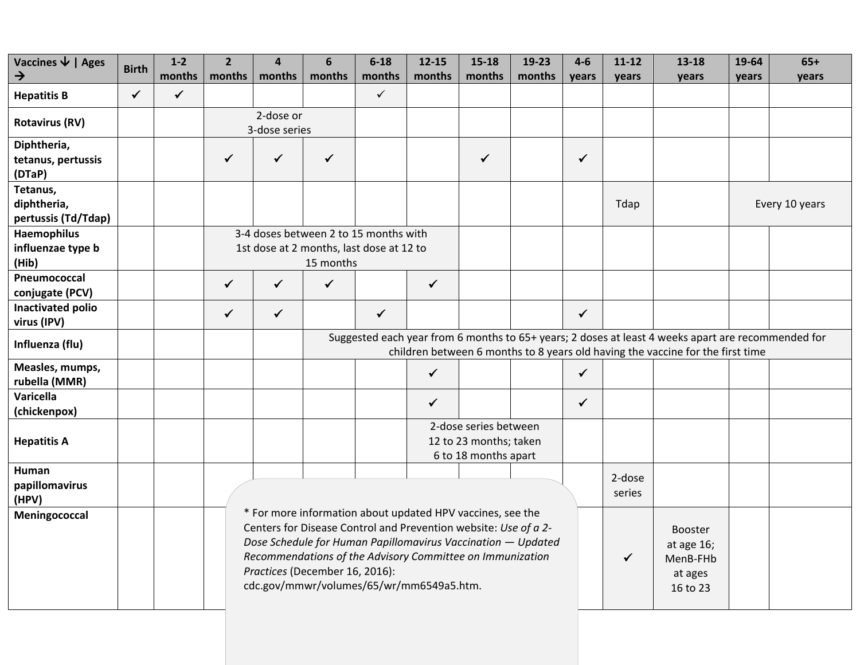| Vaccines $\overline{\mathbf{\Psi}}$   Ages       | <b>Birth</b> | $1-2$        | $\overline{2}$                                                                                                                                                                                                                                                                                                                                                          | 4            | 6            | $6 - 18$                                                                          | $12 - 15$    | $15 - 18$                                                               | 19-23            | $4 - 6$      | $11 - 12$ | $13 - 18$                                                                                                                                                                            | 19-64 | $65+$          |
|--------------------------------------------------|--------------|--------------|-------------------------------------------------------------------------------------------------------------------------------------------------------------------------------------------------------------------------------------------------------------------------------------------------------------------------------------------------------------------------|--------------|--------------|-----------------------------------------------------------------------------------|--------------|-------------------------------------------------------------------------|------------------|--------------|-----------|--------------------------------------------------------------------------------------------------------------------------------------------------------------------------------------|-------|----------------|
| $\rightarrow$                                    |              | months       | months                                                                                                                                                                                                                                                                                                                                                                  | months       | months       | months                                                                            | months       | months                                                                  | months           | years        | years     | years                                                                                                                                                                                | years | years          |
| <b>Hepatitis B</b>                               | $\checkmark$ | $\checkmark$ |                                                                                                                                                                                                                                                                                                                                                                         |              |              | $\checkmark$                                                                      |              |                                                                         |                  |              |           |                                                                                                                                                                                      |       |                |
| <b>Rotavirus (RV)</b>                            |              |              | 2-dose or<br>3-dose series                                                                                                                                                                                                                                                                                                                                              |              |              |                                                                                   |              |                                                                         |                  |              |           |                                                                                                                                                                                      |       |                |
| Diphtheria,<br>tetanus, pertussis<br>(DTaP)      |              |              | $\checkmark$                                                                                                                                                                                                                                                                                                                                                            | ✓            | $\checkmark$ |                                                                                   |              | $\checkmark$                                                            |                  | $\checkmark$ |           |                                                                                                                                                                                      |       |                |
| Tetanus,<br>diphtheria,<br>pertussis (Td/Tdap)   |              |              |                                                                                                                                                                                                                                                                                                                                                                         |              |              |                                                                                   |              |                                                                         |                  |              | Tdap      |                                                                                                                                                                                      |       | Every 10 years |
| <b>Haemophilus</b><br>influenzae type b<br>(Hib) |              |              |                                                                                                                                                                                                                                                                                                                                                                         |              | 15 months    | 3-4 doses between 2 to 15 months with<br>1st dose at 2 months, last dose at 12 to |              |                                                                         |                  |              |           |                                                                                                                                                                                      |       |                |
| Pneumococcal<br>conjugate (PCV)                  |              |              | $\checkmark$                                                                                                                                                                                                                                                                                                                                                            | $\checkmark$ | $\checkmark$ |                                                                                   | $\checkmark$ |                                                                         |                  |              |           |                                                                                                                                                                                      |       |                |
| Inactivated polio<br>virus (IPV)                 |              |              | $\checkmark$                                                                                                                                                                                                                                                                                                                                                            | $\checkmark$ |              | $\checkmark$                                                                      |              |                                                                         |                  | $\checkmark$ |           |                                                                                                                                                                                      |       |                |
| Influenza (flu)                                  |              |              |                                                                                                                                                                                                                                                                                                                                                                         |              |              |                                                                                   |              |                                                                         |                  |              |           | Suggested each year from 6 months to 65+ years; 2 doses at least 4 weeks apart are recommended for<br>children between 6 months to 8 years old having the vaccine for the first time |       |                |
| Measles, mumps,<br>rubella (MMR)                 |              |              |                                                                                                                                                                                                                                                                                                                                                                         |              |              |                                                                                   | $\checkmark$ |                                                                         |                  | $\checkmark$ |           |                                                                                                                                                                                      |       |                |
| Varicella<br>(chickenpox)                        |              |              |                                                                                                                                                                                                                                                                                                                                                                         |              |              |                                                                                   | $\checkmark$ |                                                                         |                  | $\checkmark$ |           |                                                                                                                                                                                      |       |                |
| <b>Hepatitis A</b>                               |              |              |                                                                                                                                                                                                                                                                                                                                                                         |              |              |                                                                                   |              | 2-dose series between<br>12 to 23 months; taken<br>6 to 18 months apart |                  |              |           |                                                                                                                                                                                      |       |                |
| Human<br>papillomavirus<br>(HPV)                 |              |              |                                                                                                                                                                                                                                                                                                                                                                         |              |              |                                                                                   |              |                                                                         | 2-dose<br>series |              |           |                                                                                                                                                                                      |       |                |
| Meningococcal                                    |              |              | * For more information about updated HPV vaccines, see the<br>Centers for Disease Control and Prevention website: Use of a 2-<br>Dose Schedule for Human Papillomavirus Vaccination - Updated<br>at age 16;<br>Recommendations of the Advisory Committee on Immunization<br>✓<br>MenB-FHb<br>Practices (December 16, 2016):<br>cdc.gov/mmwr/volumes/65/wr/mm6549a5.htm. |              |              |                                                                                   |              |                                                                         |                  |              |           |                                                                                                                                                                                      |       |                |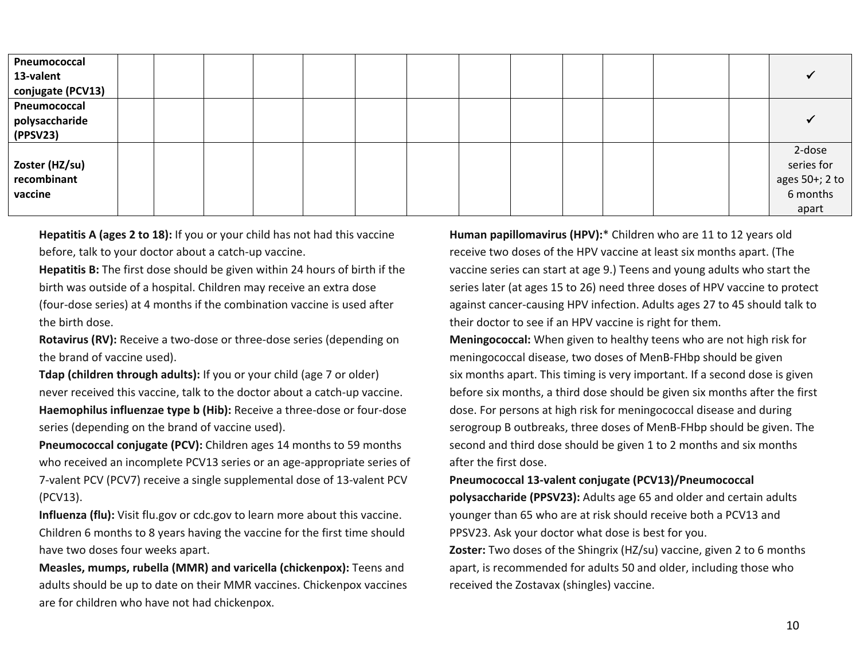| Pneumococcal      |  |  |  |  |  |  |                            |
|-------------------|--|--|--|--|--|--|----------------------------|
| 13-valent         |  |  |  |  |  |  |                            |
| conjugate (PCV13) |  |  |  |  |  |  |                            |
| Pneumococcal      |  |  |  |  |  |  |                            |
| polysaccharide    |  |  |  |  |  |  |                            |
| (PPSV23)          |  |  |  |  |  |  |                            |
|                   |  |  |  |  |  |  | 2-dose                     |
| Zoster (HZ/su)    |  |  |  |  |  |  | series for                 |
| recombinant       |  |  |  |  |  |  | ages 50+; 2 to<br>6 months |
| vaccine           |  |  |  |  |  |  |                            |
|                   |  |  |  |  |  |  | apart                      |

**Hepatitis A (ages 2 to 18):** If you or your child has not had this vaccine before, talk to your doctor about a catch-up vaccine.

**Hepatitis B:** The first dose should be given within 24 hours of birth if the birth was outside of a hospital. Children may receive an extra dose (four-dose series) at 4 months if the combination vaccine is used after the birth dose.

**Rotavirus (RV):** Receive a two-dose or three-dose series (depending on the brand of vaccine used).

**Tdap (children through adults):** If you or your child (age 7 or older) never received this vaccine, talk to the doctor about a catch-up vaccine. **Haemophilus influenzae type b (Hib):** Receive a three-dose or four-dose series (depending on the brand of vaccine used).

**Pneumococcal conjugate (PCV):** Children ages 14 months to 59 months who received an incomplete PCV13 series or an age-appropriate series of 7-valent PCV (PCV7) receive a single supplemental dose of 13-valent PCV (PCV13).

**Influenza (flu):** Visit flu.gov or cdc.gov to learn more about this vaccine. Children 6 months to 8 years having the vaccine for the first time should have two doses four weeks apart.

**Measles, mumps, rubella (MMR) and varicella (chickenpox):** Teens and adults should be up to date on their MMR vaccines. Chickenpox vaccines are for children who have not had chickenpox.

**Human papillomavirus (HPV):**\* Children who are 11 to 12 years old receive two doses of the HPV vaccine at least six months apart. (The vaccine series can start at age 9.) Teens and young adults who start the series later (at ages 15 to 26) need three doses of HPV vaccine to protect against cancer-causing HPV infection. Adults ages 27 to 45 should talk to their doctor to see if an HPV vaccine is right for them.

**Meningococcal:** When given to healthy teens who are not high risk for meningococcal disease, two doses of MenB-FHbp should be given six months apart. This timing is very important. If a second dose is given before six months, a third dose should be given six months after the first dose. For persons at high risk for meningococcal disease and during serogroup B outbreaks, three doses of MenB-FHbp should be given. The second and third dose should be given 1 to 2 months and six months after the first dose.

#### **Pneumococcal 13-valent conjugate (PCV13)/Pneumococcal**

**polysaccharide (PPSV23):** Adults age 65 and older and certain adults younger than 65 who are at risk should receive both a PCV13 and PPSV23. Ask your doctor what dose is best for you.

**Zoster:** Two doses of the Shingrix (HZ/su) vaccine, given 2 to 6 months apart, is recommended for adults 50 and older, including those who received the Zostavax (shingles) vaccine.